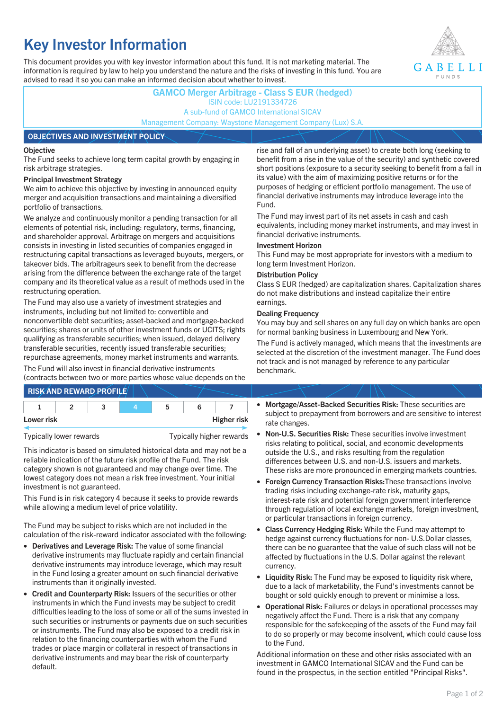# **Key Investor Information**

This document provides you with key investor information about this fund. It is not marketing material. The information is required by law to help you understand the nature and the risks of investing in this fund. You are advised to read it so you can make an informed decision about whether to invest.



## **GAMCO Merger Arbitrage - Class S EUR (hedged)** ISIN code: LU2191334726 A sub-fund of GAMCO International SICAV Management Company: Waystone Management Company (Lux) S.A. **OBJECTIVES AND INVESTMENT POLICY**

### **Objective**

The Fund seeks to achieve long term capital growth by engaging in risk arbitrage strategies.

### **Principal Investment Strategy**

We aim to achieve this objective by investing in announced equity merger and acquisition transactions and maintaining a diversified portfolio of transactions.

We analyze and continuously monitor a pending transaction for all elements of potential risk, including: regulatory, terms, financing, and shareholder approval. Arbitrage on mergers and acquisitions consists in investing in listed securities of companies engaged in restructuring capital transactions as leveraged buyouts, mergers, or takeover bids. The arbitrageurs seek to benefit from the decrease arising from the difference between the exchange rate of the target company and its theoretical value as a result of methods used in the restructuring operation.

The Fund may also use a variety of investment strategies and instruments, including but not limited to: convertible and nonconvertible debt securities; asset-backed and mortgage-backed securities; shares or units of other investment funds or UCITS; rights qualifying as transferable securities; when issued, delayed delivery transferable securities, recently issued transferable securities; repurchase agreements, money market instruments and warrants.

The Fund will also invest in financial derivative instruments (contracts between two or more parties whose value depends on the

| <b>RISK AND REWARD PROFILE</b> |  |  |                    |
|--------------------------------|--|--|--------------------|
|                                |  |  |                    |
| Lower risk                     |  |  | <b>Higher risk</b> |

Typically lower rewards Typically higher rewards

This indicator is based on simulated historical data and may not be a reliable indication of the future risk profile of the Fund. The risk category shown is not guaranteed and may change over time. The lowest category does not mean a risk free investment. Your initial investment is not guaranteed.

This Fund is in risk category 4 because it seeks to provide rewards while allowing a medium level of price volatility.

The Fund may be subject to risks which are not included in the calculation of the risk-reward indicator associated with the following:

- **Derivatives and Leverage Risk:** The value of some financial derivative instruments may fluctuate rapidly and certain financial derivative instruments may introduce leverage, which may result in the Fund losing a greater amount on such financial derivative instruments than it originally invested.
- **Credit and Counterparty Risk:** Issuers of the securities or other instruments in which the Fund invests may be subject to credit difficulties leading to the loss of some or all of the sums invested in such securities or instruments or payments due on such securities or instruments. The Fund may also be exposed to a credit risk in relation to the financing counterparties with whom the Fund trades or place margin or collateral in respect of transactions in derivative instruments and may bear the risk of counterparty default.

rise and fall of an underlying asset) to create both long (seeking to benefit from a rise in the value of the security) and synthetic covered short positions (exposure to a security seeking to benefit from a fall in its value) with the aim of maximizing positive returns or for the purposes of hedging or efficient portfolio management. The use of financial derivative instruments may introduce leverage into the Fund.

The Fund may invest part of its net assets in cash and cash equivalents, including money market instruments, and may invest in financial derivative instruments.

### **Investment Horizon**

This Fund may be most appropriate for investors with a medium to long term Investment Horizon.

### **Distribution Policy**

Class S EUR (hedged) are capitalization shares. Capitalization shares do not make distributions and instead capitalize their entire earnings.

### **Dealing Frequency**

You may buy and sell shares on any full day on which banks are open for normal banking business in Luxembourg and New York.

The Fund is actively managed, which means that the investments are selected at the discretion of the investment manager. The Fund does not track and is not managed by reference to any particular benchmark.

- **Mortgage/Asset-Backed Securities Risk:** These securities are subject to prepayment from borrowers and are sensitive to interest rate changes.
- **Non-U.S. Securities Risk:** These securities involve investment risks relating to political, social, and economic developments outside the U.S., and risks resulting from the regulation differences between U.S. and non-U.S. issuers and markets. These risks are more pronounced in emerging markets countries.
- **Foreign Currency Transaction Risks:**These transactions involve trading risks including exchange-rate risk, maturity gaps, interest-rate risk and potential foreign government interference through regulation of local exchange markets, foreign investment, or particular transactions in foreign currency.
- **Class Currency Hedging Risk:** While the Fund may attempt to hedge against currency fluctuations for non- U.S.Dollar classes, there can be no guarantee that the value of such class will not be affected by fluctuations in the U.S. Dollar against the relevant currency.
- **Liquidity Risk:** The Fund may be exposed to liquidity risk where, due to a lack of marketability, the Fund's investments cannot be bought or sold quickly enough to prevent or minimise a loss.
- **Operational Risk:** Failures or delays in operational processes may negatively affect the Fund. There is a risk that any company responsible for the safekeeping of the assets of the Fund may fail to do so properly or may become insolvent, which could cause loss to the Fund.

Additional information on these and other risks associated with an investment in GAMCO International SICAV and the Fund can be found in the prospectus, in the section entitled "Principal Risks".